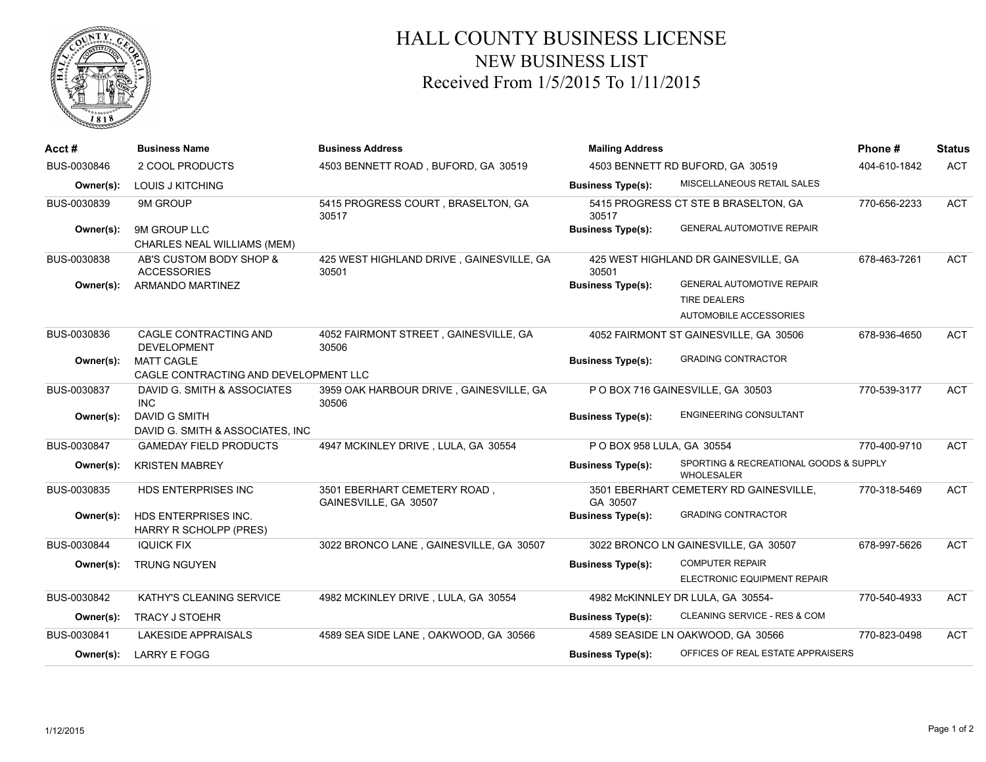

## HALL COUNTY BUSINESS LICENSE NEW BUSINESS LIST Received From 1/5/2015 To 1/11/2015

| Acct#       | <b>Business Name</b>                                  | <b>Business Address</b>                               | <b>Mailing Address</b><br>4503 BENNETT RD BUFORD, GA 30519 |                                                      | Phone#       | <b>Status</b> |
|-------------|-------------------------------------------------------|-------------------------------------------------------|------------------------------------------------------------|------------------------------------------------------|--------------|---------------|
| BUS-0030846 | 2 COOL PRODUCTS                                       | 4503 BENNETT ROAD, BUFORD, GA 30519                   |                                                            |                                                      | 404-610-1842 | <b>ACT</b>    |
| Owner(s):   | <b>LOUIS J KITCHING</b>                               |                                                       | <b>Business Type(s):</b>                                   | MISCELLANEOUS RETAIL SALES                           |              |               |
| BUS-0030839 | 9M GROUP                                              | 5415 PROGRESS COURT, BRASELTON, GA<br>30517           | 30517                                                      | 5415 PROGRESS CT STE B BRASELTON, GA                 | 770-656-2233 | <b>ACT</b>    |
| Owner(s):   | 9M GROUP LLC<br>CHARLES NEAL WILLIAMS (MEM)           |                                                       | <b>Business Type(s):</b>                                   | <b>GENERAL AUTOMOTIVE REPAIR</b>                     |              |               |
| BUS-0030838 | AB'S CUSTOM BODY SHOP &<br><b>ACCESSORIES</b>         | 425 WEST HIGHLAND DRIVE, GAINESVILLE, GA<br>30501     | 425 WEST HIGHLAND DR GAINESVILLE, GA<br>30501              |                                                      | 678-463-7261 | <b>ACT</b>    |
| Owner(s):   | ARMANDO MARTINEZ                                      |                                                       | <b>Business Type(s):</b>                                   | <b>GENERAL AUTOMOTIVE REPAIR</b>                     |              |               |
|             |                                                       |                                                       |                                                            | <b>TIRE DEALERS</b>                                  |              |               |
|             |                                                       |                                                       |                                                            | AUTOMOBILE ACCESSORIES                               |              |               |
| BUS-0030836 | CAGLE CONTRACTING AND<br><b>DEVELOPMENT</b>           | 4052 FAIRMONT STREET, GAINESVILLE, GA<br>30506        |                                                            | 4052 FAIRMONT ST GAINESVILLE, GA 30506               | 678-936-4650 | <b>ACT</b>    |
| Owner(s):   | <b>MATT CAGLE</b>                                     |                                                       | <b>Business Type(s):</b>                                   | <b>GRADING CONTRACTOR</b>                            |              |               |
|             | CAGLE CONTRACTING AND DEVELOPMENT LLC                 |                                                       |                                                            |                                                      |              |               |
| BUS-0030837 | DAVID G. SMITH & ASSOCIATES<br><b>INC</b>             | 3959 OAK HARBOUR DRIVE, GAINESVILLE, GA<br>30506      |                                                            | P O BOX 716 GAINESVILLE, GA 30503                    | 770-539-3177 | <b>ACT</b>    |
| Owner(s):   | <b>DAVID G SMITH</b>                                  |                                                       | <b>Business Type(s):</b>                                   | <b>ENGINEERING CONSULTANT</b>                        |              |               |
|             | DAVID G. SMITH & ASSOCIATES, INC.                     |                                                       |                                                            |                                                      |              |               |
| BUS-0030847 | <b>GAMEDAY FIELD PRODUCTS</b>                         | 4947 MCKINLEY DRIVE, LULA, GA 30554                   | P O BOX 958 LULA, GA 30554                                 |                                                      | 770-400-9710 | <b>ACT</b>    |
| Owner(s):   | <b>KRISTEN MABREY</b>                                 |                                                       | <b>Business Type(s):</b>                                   | SPORTING & RECREATIONAL GOODS & SUPPLY<br>WHOLESALER |              |               |
| BUS-0030835 | <b>HDS ENTERPRISES INC</b>                            | 3501 EBERHART CEMETERY ROAD,<br>GAINESVILLE, GA 30507 | GA 30507                                                   | 3501 EBERHART CEMETERY RD GAINESVILLE,               | 770-318-5469 | <b>ACT</b>    |
| Owner(s):   | HDS ENTERPRISES INC.<br><b>HARRY R SCHOLPP (PRES)</b> |                                                       | <b>Business Type(s):</b>                                   | <b>GRADING CONTRACTOR</b>                            |              |               |
| BUS-0030844 | <b>IQUICK FIX</b>                                     | 3022 BRONCO LANE, GAINESVILLE, GA 30507               |                                                            | 3022 BRONCO LN GAINESVILLE, GA 30507                 | 678-997-5626 | <b>ACT</b>    |
| Owner(s):   | <b>TRUNG NGUYEN</b>                                   |                                                       | <b>Business Type(s):</b>                                   | <b>COMPUTER REPAIR</b>                               |              |               |
|             |                                                       |                                                       |                                                            | ELECTRONIC EQUIPMENT REPAIR                          |              |               |
| BUS-0030842 | KATHY'S CLEANING SERVICE                              | 4982 MCKINLEY DRIVE, LULA, GA 30554                   |                                                            | 4982 McKINNLEY DR LULA, GA 30554-                    | 770-540-4933 | <b>ACT</b>    |
| Owner(s):   | <b>TRACY J STOEHR</b>                                 |                                                       | <b>Business Type(s):</b>                                   | CLEANING SERVICE - RES & COM                         |              |               |
| BUS-0030841 | <b>LAKESIDE APPRAISALS</b>                            | 4589 SEA SIDE LANE, OAKWOOD, GA 30566                 |                                                            | 4589 SEASIDE LN OAKWOOD, GA 30566                    | 770-823-0498 | <b>ACT</b>    |
| Owner(s):   | <b>LARRY E FOGG</b>                                   |                                                       | <b>Business Type(s):</b>                                   | OFFICES OF REAL ESTATE APPRAISERS                    |              |               |